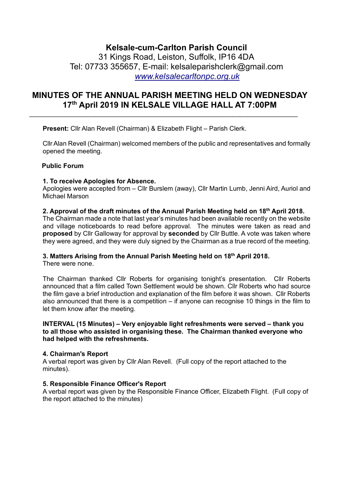# **Kelsale-cum-Carlton Parish Council**

31 Kings Road, Leiston, Suffolk, IP16 4DA Tel: 07733 355657, E-mail: kelsaleparishclerk@gmail.com *[www.kelsalecarltonpc.org.uk](http://www.kelsalecarltonpc.org.uk/)*

# **MINUTES OF THE ANNUAL PARISH MEETING HELD ON WEDNESDAY 17th April 2019 IN KELSALE VILLAGE HALL AT 7:00PM**

 $\_$  , and the set of the set of the set of the set of the set of the set of the set of the set of the set of the set of the set of the set of the set of the set of the set of the set of the set of the set of the set of th

**Present:** Cllr Alan Revell (Chairman) & Elizabeth Flight – Parish Clerk.

Cllr Alan Revell (Chairman) welcomed members of the public and representatives and formally opened the meeting.

## **Public Forum**

## **1. To receive Apologies for Absence.**

Apologies were accepted from – Cllr Burslem (away), Cllr Martin Lumb, Jenni Aird, Auriol and Michael Marson

### **2. Approval of the draft minutes of the Annual Parish Meeting held on 18th April 2018.**

The Chairman made a note that last year's minutes had been available recently on the website and village noticeboards to read before approval. The minutes were taken as read and **proposed** by Cllr Galloway for approval by **seconded** by Cllr Buttle. A vote was taken where they were agreed, and they were duly signed by the Chairman as a true record of the meeting.

# **3. Matters Arising from the Annual Parish Meeting held on 18th April 2018.**

There were none.

The Chairman thanked Cllr Roberts for organising tonight's presentation. Cllr Roberts announced that a film called Town Settlement would be shown. Cllr Roberts who had source the film gave a brief introduction and explanation of the film before it was shown. Cllr Roberts also announced that there is a competition – if anyone can recognise 10 things in the film to let them know after the meeting.

#### **INTERVAL (15 Minutes) – Very enjoyable light refreshments were served – thank you to all those who assisted in organising these. The Chairman thanked everyone who had helped with the refreshments.**

### **4. Chairman's Report**

A verbal report was given by Cllr Alan Revell. (Full copy of the report attached to the minutes).

### **5. Responsible Finance Officer's Report**

A verbal report was given by the Responsible Finance Officer, Elizabeth Flight. (Full copy of the report attached to the minutes)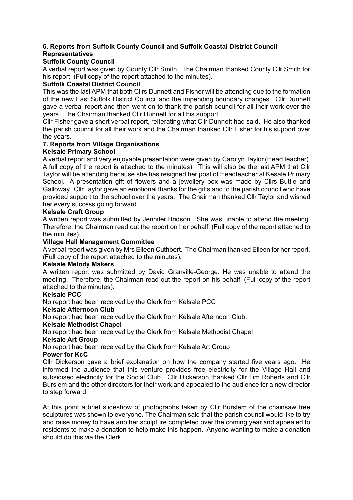# **6. Reports from Suffolk County Council and Suffolk Coastal District Council Representatives**

## **Suffolk County Council**

A verbal report was given by County Cllr Smith. The Chairman thanked County Cllr Smith for his report. (Full copy of the report attached to the minutes).

### **Suffolk Coastal District Council**

This was the last APM that both Cllrs Dunnett and Fisher will be attending due to the formation of the new East Suffolk District Council and the impending boundary changes. Cllr Dunnett gave a verbal report and then went on to thank the parish council for all their work over the years. The Chairman thanked Cllr Dunnett for all his support.

Cllr Fisher gave a short verbal report, reiterating what Cllr Dunnett had said. He also thanked the parish council for all their work and the Chairman thanked Cllr Fisher for his support over the years.

# **7. Reports from Village Organisations**

## **Kelsale Primary School**

A verbal report and very enjoyable presentation were given by Carolyn Taylor (Head teacher). A full copy of the report is attached to the minutes). This will also be the last APM that Cllr Taylor will be attending because she has resigned her post of Headteacher at Kesale Primary School. A presentation gift of flowers and a jewellery box was made by Cllrs Buttle and Galloway. Cllr Taylor gave an emotional thanks for the gifts and to the parish council who have provided support to the school over the years. The Chairman thanked Cllr Taylor and wished her every success going forward.

### **Kelsale Craft Group**

A written report was submitted by Jennifer Bridson. She was unable to attend the meeting. Therefore, the Chairman read out the report on her behalf. (Full copy of the report attached to the minutes).

### **Village Hall Management Committee**

A verbal report was given by Mrs Eileen Cuthbert. The Chairman thanked Eileen for her report. (Full copy of the report attached to the minutes).

### **Kelsale Melody Makers**

A written report was submitted by David Granville-George. He was unable to attend the meeting. Therefore, the Chairman read out the report on his behalf. (Full copy of the report attached to the minutes).

### **Kelsale PCC**

No report had been received by the Clerk from Kelsale PCC

### **Kelsale Afternoon Club**

No report had been received by the Clerk from Kelsale Afternoon Club.

### **Kelsale Methodist Chapel**

No report had been received by the Clerk from Kelsale Methodist Chapel

### **Kelsale Art Group**

No report had been received by the Clerk from Kelsale Art Group

#### **Power for KcC**

Cllr Dickerson gave a brief explanation on how the company started five years ago. He informed the audience that this venture provides free electricity for the Village Hall and subsidised electricity for the Social Club. Cllr Dickerson thanked Cllr Tim Roberts and Cllr Burslem and the other directors for their work and appealed to the audience for a new director to step forward.

At this point a brief slideshow of photographs taken by Cllr Burslem of the chainsaw tree sculptures was shown to everyone. The Chairman said that the parish council would like to try and raise money to have another sculpture completed over the coming year and appealed to residents to make a donation to help make this happen. Anyone wanting to make a donation should do this via the Clerk.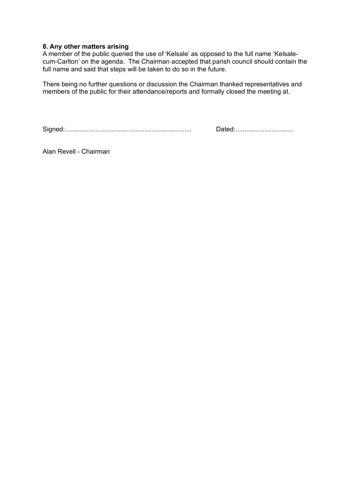#### **8. Any other matters arising**

A member of the public queried the use of 'Kelsale' as opposed to the full name 'Kelsalecum-Carlton' on the agenda. The Chairman accepted that parish council should contain the full name and said that steps will be taken to do so in the future.

There being no further questions or discussion the Chairman thanked representatives and members of the public for their attendance/reports and formally closed the meeting at.

Signed:...................................................................... Dated:................................

Alan Revell - Chairman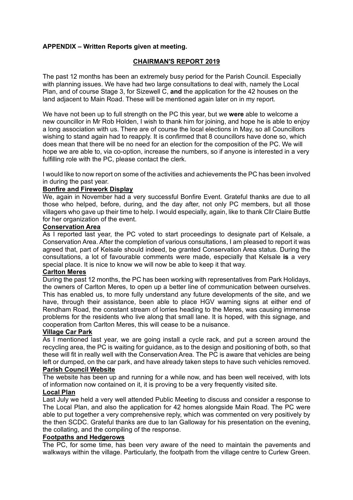## **APPENDIX – Written Reports given at meeting.**

## **CHAIRMAN'S REPORT 2019**

The past 12 months has been an extremely busy period for the Parish Council. Especially with planning issues. We have had two large consultations to deal with, namely the Local Plan, and of course Stage 3, for Sizewell C, **and** the application for the 42 houses on the land adjacent to Main Road. These will be mentioned again later on in my report.

We have not been up to full strength on the PC this year, but we **were** able to welcome a new councillor in Mr Rob Holden, I wish to thank him for joining, and hope he is able to enjoy a long association with us. There are of course the local elections in May, so all Councillors wishing to stand again had to reapply. It is confirmed that 8 councillors have done so, which does mean that there will be no need for an election for the composition of the PC. We will hope we are able to, via co-option, increase the numbers, so if anyone is interested in a very fulfilling role with the PC, please contact the clerk.

I would like to now report on some of the activities and achievements the PC has been involved in during the past year.

## **Bonfire and Firework Display**

We, again in November had a very successful Bonfire Event. Grateful thanks are due to all those who helped, before, during, and the day after, not only PC members, but all those villagers who gave up their time to help. I would especially, again, like to thank Cllr Claire Buttle for her organization of the event.

#### **Conservation Area**

As I reported last year, the PC voted to start proceedings to designate part of Kelsale, a Conservation Area. After the completion of various consultations, I am pleased to report it was agreed that, part of Kelsale should indeed, be granted Conservation Area status. During the consultations, a lot of favourable comments were made, especially that Kelsale **is** a very special place. It is nice to know we will now be able to keep it that way.

### **Carlton Meres**

During the past 12 months, the PC has been working with representatives from Park Holidays, the owners of Carlton Meres, to open up a better line of communication between ourselves. This has enabled us, to more fully understand any future developments of the site, and we have, through their assistance, been able to place HGV warning signs at either end of Rendham Road, the constant stream of lorries heading to the Meres, was causing immense problems for the residents who live along that small lane. It is hoped, with this signage, and cooperation from Carlton Meres, this will cease to be a nuisance.

#### **Village Car Park**

As I mentioned last year, we are going install a cycle rack, and put a screen around the recycling area, the PC is waiting for guidance, as to the design and positioning of both, so that these will fit in really well with the Conservation Area. The PC is aware that vehicles are being left or dumped, on the car park, and have already taken steps to have such vehicles removed.

#### **Parish Council Website**

The website has been up and running for a while now, and has been well received, with lots of information now contained on it, it is proving to be a very frequently visited site.

### **Local Plan**

Last July we held a very well attended Public Meeting to discuss and consider a response to The Local Plan, and also the application for 42 homes alongside Main Road. The PC were able to put together a very comprehensive reply, which was commented on very positively by the then SCDC. Grateful thanks are due to Ian Galloway for his presentation on the evening, the collating, and the compiling of the response.

#### **Footpaths and Hedgerows**

The PC, for some time, has been very aware of the need to maintain the pavements and walkways within the village. Particularly, the footpath from the village centre to Curlew Green.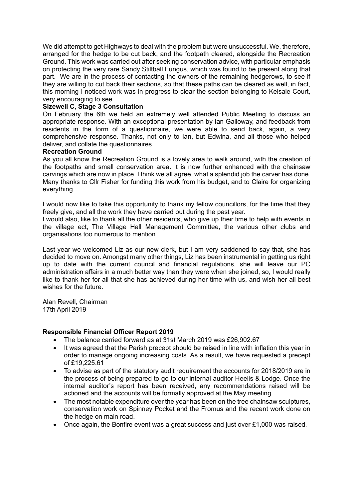We did attempt to get Highways to deal with the problem but were unsuccessful. We, therefore, arranged for the hedge to be cut back, and the footpath cleared, alongside the Recreation Ground. This work was carried out after seeking conservation advice, with particular emphasis on protecting the very rare Sandy Stiltball Fungus, which was found to be present along that part. We are in the process of contacting the owners of the remaining hedgerows, to see if they are willing to cut back their sections, so that these paths can be cleared as well, in fact, this morning I noticed work was in progress to clear the section belonging to Kelsale Court, very encouraging to see.

## **Sizewell C, Stage 3 Consultation**

On February the 6th we held an extremely well attended Public Meeting to discuss an appropriate response. With an exceptional presentation by Ian Galloway, and feedback from residents in the form of a questionnaire, we were able to send back, again, a very comprehensive response. Thanks, not only to Ian, but Edwina, and all those who helped deliver, and collate the questionnaires.

### **Recreation Ground**

As you all know the Recreation Ground is a lovely area to walk around, with the creation of the footpaths and small conservation area. It is now further enhanced with the chainsaw carvings which are now in place. I think we all agree, what a splendid job the carver has done. Many thanks to Cllr Fisher for funding this work from his budget, and to Claire for organizing everything.

I would now like to take this opportunity to thank my fellow councillors, for the time that they freely give, and all the work they have carried out during the past year.

I would also, like to thank all the other residents, who give up their time to help with events in the village ect, The Village Hall Management Committee, the various other clubs and organisations too numerous to mention.

Last year we welcomed Liz as our new clerk, but I am very saddened to say that, she has decided to move on. Amongst many other things, Liz has been instrumental in getting us right up to date with the current council and financial regulations, she will leave our PC administration affairs in a much better way than they were when she joined, so, I would really like to thank her for all that she has achieved during her time with us, and wish her all best wishes for the future.

Alan Revell, Chairman 17th April 2019

### **Responsible Financial Officer Report 2019**

- The balance carried forward as at 31st March 2019 was £26,902.67
- It was agreed that the Parish precept should be raised in line with inflation this year in order to manage ongoing increasing costs. As a result, we have requested a precept of £19,225.61
- To advise as part of the statutory audit requirement the accounts for 2018/2019 are in the process of being prepared to go to our internal auditor Heelis & Lodge. Once the internal auditor's report has been received, any recommendations raised will be actioned and the accounts will be formally approved at the May meeting.
- The most notable expenditure over the year has been on the tree chainsaw sculptures, conservation work on Spinney Pocket and the Fromus and the recent work done on the hedge on main road.
- Once again, the Bonfire event was a great success and just over £1,000 was raised.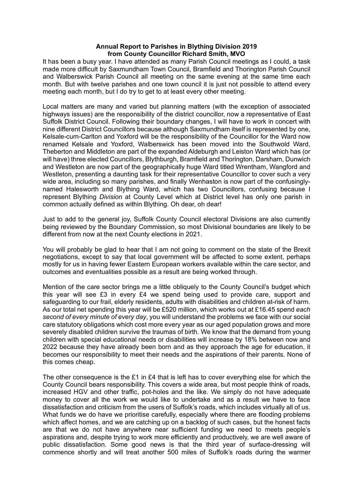#### **Annual Report to Parishes in Blything Division 2019 from County Councillor Richard Smith, MVO**

It has been a busy year. I have attended as many Parish Council meetings as I could, a task made more difficult by Saxmundham Town Council, Bramfield and Thorington Parish Council and Walberswick Parish Council all meeting on the same evening at the same time each month. But with twelve parishes and one town council it is just not possible to attend every meeting each month, but I do try to get to at least every other meeting.

Local matters are many and varied but planning matters (with the exception of associated highways issues) are the responsibility of the district councillor, now a representative of East Suffolk District Council. Following their boundary changes, I will have to work in concert with nine different District Councillors because although Saxmundham itself is represented by one, Kelsale-cum-Carlton and Yoxford will be the responsibility of the Councillor for the Ward now renamed Kelsale and Yoxford, Walberswick has been moved into the Southwold Ward, Theberton and Middleton are part of the expanded Aldeburgh and Leiston Ward which has (or will have) three elected Councillors, Blythburgh, Bramfield and Thorington, Darsham, Dunwich and Westleton are now part of the geographically huge Ward titled Wrentham, Wangford and Westleton, presenting a daunting task for their representative Councillor to cover such a very wide area, including so many parishes, and finally Wenhaston is now part of the confusinglynamed Halesworth and Blything Ward, which has two Councillors, confusing because I represent Blything *Division* at County Level which at District level has only one parish in common actually defined as within Blything. Oh dear, oh dear!

Just to add to the general joy, Suffolk County Council electoral Divisions are also currently being reviewed by the Boundary Commission, so most Divisional boundaries are likely to be different from now at the next County elections in 2021.

You will probably be glad to hear that I am not going to comment on the state of the Brexit negotiations, except to say that local government will be affected to some extent, perhaps mostly for us in having fewer Eastern European workers available within the care sector, and outcomes and eventualities possible as a result are being worked through.

Mention of the care sector brings me a little obliquely to the County Council's budget which this year will see £3 in every £4 we spend being used to provide care, support and safeguarding to our frail, elderly residents, adults with disabilities and children at-risk of harm. As our total net spending this year will be £520 million, which works out at £16.45 spend *each second of every minute of every day*, you will understand the problems we face with our social care statutory obligations which cost more every year as our aged population grows and more severely disabled children survive the traumas of birth. We know that the demand from young children with special educational needs or disabilities will increase by 18% between now and 2022 because they have already been born and as they approach the age for education, it becomes our responsibility to meet their needs and the aspirations of their parents. None of this comes cheap.

The other consequence is the £1 in £4 that is left has to cover everything else for which the County Council bears responsibility. This covers a wide area, but most people think of roads, increased HGV and other traffic, pot-holes and the like. We simply do not have adequate money to cover all the work we would like to undertake and as a result we have to face dissatisfaction and criticism from the users of Suffolk's roads, which includes virtually all of us. What funds we do have we prioritise carefully, especially where there are flooding problems which affect homes, and we are catching up on a backlog of such cases, but the honest facts are that we do not have anywhere near sufficient funding we need to meets people's aspirations and, despite trying to work more efficiently and productively, we are well aware of public dissatisfaction. Some good news is that the third year of surface-dressing will commence shortly and will treat another 500 miles of Suffolk's roads during the warmer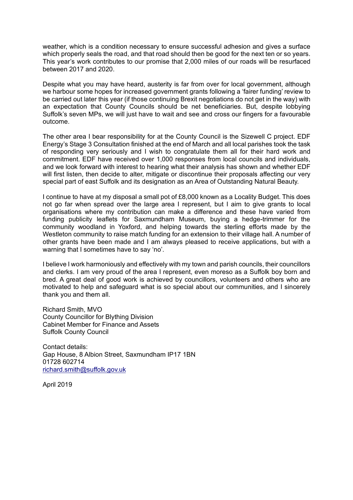weather, which is a condition necessary to ensure successful adhesion and gives a surface which properly seals the road, and that road should then be good for the next ten or so years. This year's work contributes to our promise that 2,000 miles of our roads will be resurfaced between 2017 and 2020.

Despite what you may have heard, austerity is far from over for local government, although we harbour some hopes for increased government grants following a 'fairer funding' review to be carried out later this year (if those continuing Brexit negotiations do not get in the way) with an expectation that County Councils should be net beneficiaries. But, despite lobbying Suffolk's seven MPs, we will just have to wait and see and cross our fingers for a favourable outcome.

The other area I bear responsibility for at the County Council is the Sizewell C project. EDF Energy's Stage 3 Consultation finished at the end of March and all local parishes took the task of responding very seriously and I wish to congratulate them all for their hard work and commitment. EDF have received over 1,000 responses from local councils and individuals, and we look forward with interest to hearing what their analysis has shown and whether EDF will first listen, then decide to alter, mitigate or discontinue their proposals affecting our very special part of east Suffolk and its designation as an Area of Outstanding Natural Beauty.

I continue to have at my disposal a small pot of £8,000 known as a Locality Budget. This does not go far when spread over the large area I represent, but I aim to give grants to local organisations where my contribution can make a difference and these have varied from funding publicity leaflets for Saxmundham Museum, buying a hedge-trimmer for the community woodland in Yoxford, and helping towards the sterling efforts made by the Westleton community to raise match funding for an extension to their village hall. A number of other grants have been made and I am always pleased to receive applications, but with a warning that I sometimes have to say 'no'.

I believe I work harmoniously and effectively with my town and parish councils, their councillors and clerks. I am very proud of the area I represent, even moreso as a Suffolk boy born and bred. A great deal of good work is achieved by councillors, volunteers and others who are motivated to help and safeguard what is so special about our communities, and I sincerely thank you and them all.

Richard Smith, MVO County Councillor for Blything Division Cabinet Member for Finance and Assets Suffolk County Council

Contact details: Gap House, 8 Albion Street, Saxmundham IP17 1BN 01728 602714 [richard.smith@suffolk.gov.uk](mailto:richard.smith@suffolk.gov.uk)

April 2019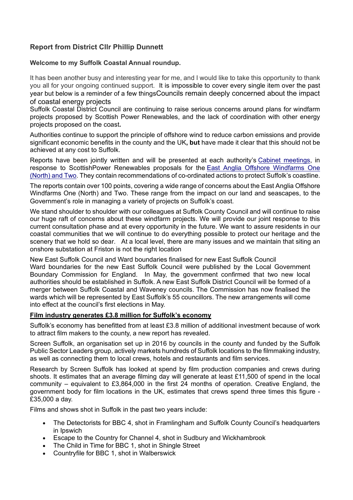# **Report from District Cllr Phillip Dunnett**

## **Welcome to my Suffolk Coastal Annual roundup.**

It has been another busy and interesting year for me, and I would like to take this opportunity to thank you all for your ongoing continued support. It is impossible to cover every single item over the past year but below is a reminder of a few thingsCouncils remain deeply concerned about the impact of coastal energy projects

Suffolk Coastal District Council are continuing to raise serious concerns around plans for windfarm projects proposed by Scottish Power Renewables, and the lack of coordination with other energy projects proposed on the coast**.**

Authorities continue to support the principle of offshore wind to reduce carbon emissions and provide significant economic benefits in the county and the UK**, but** have made it clear that this should not be achieved at any cost to Suffolk.

Reports have been jointly written and will be presented at each authority's [Cabinet meetings,](http://apps.eastsuffolk.gov.uk/committeeminutes/showagenda.asp?id=23397) in response to ScottishPower Renewables proposals for the [East Anglia Offshore Windfarms One](https://www.eastsuffolk.gov.uk/planning/offshore-windfarms/)  [\(North\) and Two.](https://www.eastsuffolk.gov.uk/planning/offshore-windfarms/) They contain recommendations of co-ordinated actions to protect Suffolk's coastline.

The reports contain over 100 points, covering a wide range of concerns about the East Anglia Offshore Windfarms One (North) and Two. These range from the impact on our land and seascapes, to the Government's role in managing a variety of projects on Suffolk's coast.

We stand shoulder to shoulder with our colleagues at Suffolk County Council and will continue to raise our huge raft of concerns about these windfarm projects. We will provide our joint response to this current consultation phase and at every opportunity in the future. We want to assure residents in our coastal communities that we will continue to do everything possible to protect our heritage and the scenery that we hold so dear. At a local level, there are many issues and we maintain that siting an onshore substation at Friston is not the right location

New East Suffolk Council and Ward boundaries finalised for new East Suffolk Council

Ward boundaries for the new East Suffolk Council were published by the Local Government Boundary Commission for England. In May, the government confirmed that two new local authorities should be established in Suffolk. A new East Suffolk District Council will be formed of a merger between Suffolk Coastal and Waveney councils. The Commission has now finalised the wards which will be represented by East Suffolk's 55 councillors. The new arrangements will come into effect at the council's first elections in May.

#### **Film industry generates £3.8 million for Suffolk's economy**

Suffolk's economy has benefitted from at least £3.8 million of additional investment because of work to attract film makers to the county, a new report has revealed.

Screen Suffolk, an organisation set up in 2016 by councils in the county and funded by the Suffolk Public Sector Leaders group, actively markets hundreds of Suffolk locations to the filmmaking industry, as well as connecting them to local crews, hotels and restaurants and film services.

Research by Screen Suffolk has looked at spend by film production companies and crews during shoots. It estimates that an average filming day will generate at least £11,500 of spend in the local community – equivalent to £3,864,000 in the first 24 months of operation. Creative England, the government body for film locations in the UK, estimates that crews spend three times this figure - £35,000 a day.

Films and shows shot in Suffolk in the past two years include:

- The Detectorists for BBC 4, shot in Framlingham and Suffolk County Council's headquarters in Ipswich
- Escape to the Country for Channel 4, shot in Sudbury and Wickhambrook
- The Child in Time for BBC 1, shot in Shingle Street
- Countryfile for BBC 1, shot in Walberswick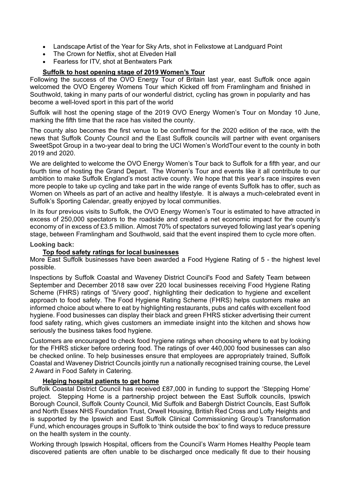- Landscape Artist of the Year for Sky Arts, shot in Felixstowe at Landguard Point
- The Crown for Netflix, shot at Elveden Hall
- Fearless for ITV, shot at Bentwaters Park

## **Suffolk to host opening stage of 2019 Women's Tour**

Following the success of the OVO Energy Tour of Britain last year, east Suffolk once again welcomed the OVO Engerey Womens Tour which Kicked off from Framlingham and finished in Southwold, taking in many parts of our wonderful district, cycling has grown in popularity and has become a well-loved sport in this part of the world

Suffolk will host the opening stage of the 2019 OVO Energy Women's Tour on Monday 10 June, marking the fifth time that the race has visited the county.

The county also becomes the first venue to be confirmed for the 2020 edition of the race, with the news that Suffolk County Council and the East Suffolk councils will partner with event organisers SweetSpot Group in a two-year deal to bring the UCI Women's WorldTour event to the county in both 2019 and 2020.

We are delighted to welcome the OVO Energy Women's Tour back to Suffolk for a fifth year, and our fourth time of hosting the Grand Depart. The Women's Tour and events like it all contribute to our ambition to make Suffolk England's most active county. We hope that this year's race inspires even more people to take up cycling and take part in the wide range of events Suffolk has to offer, such as Women on Wheels as part of an active and healthy lifestyle. It is always a much-celebrated event in Suffolk's Sporting Calendar, greatly enjoyed by local communities.

In its four previous visits to Suffolk, the OVO Energy Women's Tour is estimated to have attracted in excess of 250,000 spectators to the roadside and created a net economic impact for the county's economy of in excess of £3.5 million. Almost 70% of spectators surveyed following last year's opening stage, between Framlingham and Southwold, said that the event inspired them to cycle more often.

#### **Looking back:**

## **Top food safety ratings for local businesses**

More East Suffolk businesses have been awarded a Food Hygiene Rating of 5 - the highest level possible.

Inspections by Suffolk Coastal and Waveney District Council's Food and Safety Team between September and December 2018 saw over 220 local businesses receiving Food Hygiene Rating Scheme (FHRS) ratings of '5/very good', highlighting their dedication to hygiene and excellent approach to food safety. The Food Hygiene Rating Scheme (FHRS) helps customers make an informed choice about where to eat by highlighting restaurants, pubs and cafés with excellent food hygiene. Food businesses can display their black and green FHRS sticker advertising their current food safety rating, which gives customers an immediate insight into the kitchen and shows how seriously the business takes food hygiene.

Customers are encouraged to check food hygiene ratings when choosing where to eat by looking for the FHRS sticker before ordering food. The ratings of over 440,000 food businesses [can also](http://ratings.food.gov.uk/)  [be checked online.](http://ratings.food.gov.uk/) To help businesses ensure that employees are appropriately trained, Suffolk Coastal and Waveney District Councils jointly run a nationally recognised training course, the Level 2 Award in Food Safety in Catering.

### **Helping hospital patients to get home**

Suffolk Coastal District Council has received £87,000 in funding to support the 'Stepping Home' project. Stepping Home is a partnership project between the East Suffolk councils, Ipswich Borough Council, Suffolk County Council, Mid Suffolk and Babergh District Councils, East Suffolk and North Essex NHS Foundation Trust, Orwell Housing, British Red Cross and Lofty Heights and is supported by the Ipswich and East Suffolk Clinical Commissioning Group's Transformation Fund, which encourages groups in Suffolk to 'think outside the box' to find ways to reduce pressure on the health system in the county.

Working through Ipswich Hospital, officers from the Council's Warm Homes Healthy People team discovered patients are often unable to be discharged once medically fit due to their housing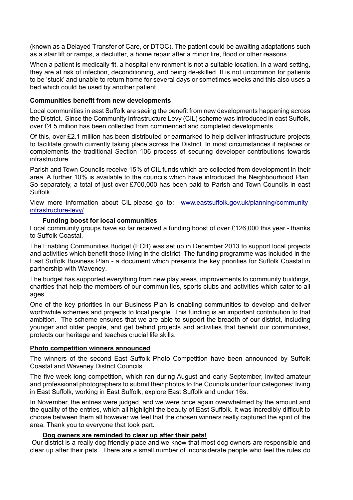(known as a Delayed Transfer of Care, or DTOC). The patient could be awaiting adaptations such as a stair lift or ramps, a declutter, a home repair after a minor fire, flood or other reasons.

When a patient is medically fit, a hospital environment is not a suitable location. In a ward setting, they are at risk of infection, deconditioning, and being de-skilled. It is not uncommon for patients to be 'stuck' and unable to return home for several days or sometimes weeks and this also uses a bed which could be used by another patient.

### **Communities benefit from new developments**

Local communities in east Suffolk are seeing the benefit from new developments happening across the District. Since the Community Infrastructure Levy (CIL) scheme was introduced in east Suffolk, over £4.5 million has been collected from commenced and completed developments.

Of this, over £2.1 million has been distributed or earmarked to help deliver infrastructure projects to facilitate growth currently taking place across the District. In most circumstances it replaces or complements the traditional Section 106 process of securing developer contributions towards infrastructure.

Parish and Town Councils receive 15% of CIL funds which are collected from development in their area. A further 10% is available to the councils which have introduced the Neighbourhood Plan. So separately, a total of just over £700,000 has been paid to Parish and Town Councils in east Suffolk.

View more information about CIL please go to: [www.eastsuffolk.gov.uk/planning/community](http://www.eastsuffolk.gov.uk/planning/community-infrastructure-levy/)[infrastructure-levy/](http://www.eastsuffolk.gov.uk/planning/community-infrastructure-levy/)

### **Funding boost for local communities**

Local community groups have so far received a funding boost of over £126,000 this year - thanks to Suffolk Coastal.

The Enabling Communities Budget (ECB) was set up in December 2013 to support local projects and activities which benefit those living in the district. The funding programme was included in the East Suffolk Business Plan - a document which presents the key priorities for Suffolk Coastal in partnership with Waveney.

The budget has supported everything from new play areas, improvements to community buildings, charities that help the members of our communities, sports clubs and activities which cater to all ages.

One of the key priorities in our Business Plan is enabling communities to develop and deliver worthwhile schemes and projects to local people. This funding is an important contribution to that ambition. The scheme ensures that we are able to support the breadth of our district, including younger and older people, and get behind projects and activities that benefit our communities, protects our heritage and teaches crucial life skills.

#### **Photo competition winners announced**

The winners of the second East Suffolk Photo Competition have been announced by Suffolk Coastal and Waveney District Councils.

The five-week long competition, which ran during August and early September, invited amateur and professional photographers to submit their photos to the Councils under four categories; living in East Suffolk, working in East Suffolk, explore East Suffolk and under 16s.

In November, the entries were judged, and we were once again overwhelmed by the amount and the quality of the entries, which all highlight the beauty of East Suffolk. It was incredibly difficult to choose between them all however we feel that the chosen winners really captured the spirit of the area. Thank you to everyone that took part.

#### **Dog owners are reminded to clear up after their pets!**

Our district is a really dog friendly place and we know that most dog owners are responsible and clear up after their pets. There are a small number of inconsiderate people who feel the rules do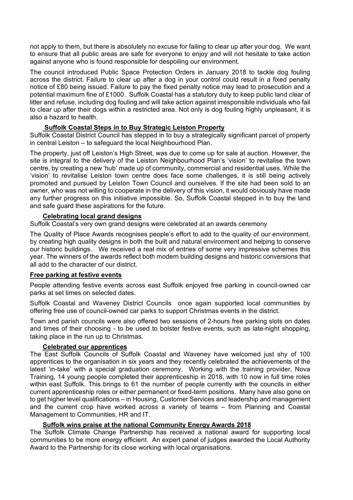not apply to them, but there is absolutely no excuse for failing to clear up after your dog. We want to ensure that all public areas are safe for everyone to enjoy and will not hesitate to take action against anyone who is found responsible for despoiling our environment.

The council introduced Public Space Protection Orders in January 2018 to tackle dog fouling across the district. Failure to clear up after a dog in your control could result in a fixed penalty notice of £80 being issued. Failure to pay the fixed penalty notice may lead to prosecution and a potential maximum fine of £1000. Suffolk Coastal has a statutory duty to keep public land clear of litter and refuse, including dog fouling and will take action against irresponsible individuals who fail to clear up after their dogs within a restricted area. Not only is dog fouling highly unpleasant, it is also a hazard to health.

# **Suffolk Coastal Steps in to Buy Strategic Leiston Property**

Suffolk Coastal District Council has stepped in to buy a strategically significant parcel of property in central Leiston – to safeguard the local Neighbourhood Plan.

The property, just off Leiston's High Street, was due to come up for sale at auction. However, the site is integral to the delivery of the Leiston Neighbourhood Plan's 'vision' to revitalise the town centre, by creating a new 'hub' made up of community, commercial and residential uses. While the 'vision' to revitalise Leiston town centre does face some challenges, it is still being actively promoted and pursued by Leiston Town Council and ourselves. If the site had been sold to an owner, who was not willing to cooperate in the delivery of this vision, it would obviously have made any further progress on this initiative impossible. So, Suffolk Coastal stepped in to buy the land and safe guard these aspirations for the future.

### **Celebrating local grand designs**

Suffolk Coastal's very own grand designs were celebrated at an awards ceremony

The Quality of Place Awards recognises people's effort to add to the quality of our environment, by creating high quality designs in both the built and natural environment and helping to conserve our historic buildings. We received a real mix of entries of some very impressive schemes this year. The winners of the awards reflect both modern building designs and historic conversions that all add to the character of our district.

### **Free parking at festive events**

People attending festive events across east Suffolk enjoyed free parking in council-owned car parks at set times on selected dates.

Suffolk Coastal and Waveney District Councils once again supported local communities by offering free use of council-owned car parks to support Christmas events in the district.

Town and parish councils were also offered two sessions of 2-hours free parking slots on dates and times of their choosing - to be used to bolster festive events, such as late-night shopping, taking place in the run up to Christmas.

### **Celebrated our apprentices**

The East Suffolk Councils of Suffolk Coastal and Waveney have welcomed just shy of 100 apprentices to the organisation in six years and they recently celebrated the achievements of the latest 'in-take' with a special graduation ceremony. Working with the training provider, Nova Training, 14 young people completed their apprenticeship in 2018, with 10 now in full time roles within east Suffolk. This brings to 61 the number of people currently with the councils in either current apprenticeship roles or either permanent or fixed-term positions. Many have also gone on to get higher level qualifications – in Housing, Customer Services and leadership and management and the current crop have worked across a variety of teams – from Planning and Coastal Management to Communities, HR and IT.

## **Suffolk wins praise at the national Community Energy Awards 2018**

The Suffolk Climate Change Partnership has received a national award for supporting local communities to be more energy efficient. An expert panel of judges awarded the Local Authority Award to the Partnership for its close working with local organisations.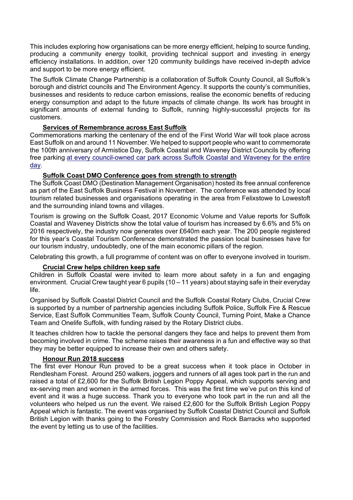This includes exploring how organisations can be more energy efficient, helping to source funding, producing a community energy toolkit, providing technical support and investing in energy efficiency installations. In addition, over 120 community buildings have received in-depth advice and support to be more energy efficient.

The Suffolk Climate Change Partnership is a collaboration of Suffolk County Council, all Suffolk's borough and district councils and The Environment Agency. It supports the county's communities, businesses and residents to reduce carbon emissions, realise the economic benefits of reducing energy consumption and adapt to the future impacts of climate change. Its work has brought in significant amounts of external funding to Suffolk, running highly-successful projects for its customers.

# **Services of Remembrance across East Suffolk**

Commemorations marking the centenary of the end of the First World War will took place across East Suffolk on and around 11 November. We helped to support people who want to commemorate the 100th anniversary of Armistice Day, Suffolk Coastal and Waveney District Councils by offering free parking [at every council-owned car park across Suffolk Coastal and Waveney for the entire](https://www.eastsuffolk.gov.uk/news/free-parking-announced-to-support-good-causes/)  [day.](https://www.eastsuffolk.gov.uk/news/free-parking-announced-to-support-good-causes/)

## **Suffolk Coast DMO Conference goes from strength to strength**

The Suffolk Coast DMO (Destination Management Organisation) hosted its free annual conference as part of the East Suffolk Business Festival in November. The conference was attended by local tourism related businesses and organisations operating in the area from Felixstowe to Lowestoft and the surrounding inland towns and villages.

Tourism is growing on the Suffolk Coast, 2017 Economic Volume and Value reports for Suffolk Coastal and Waveney Districts show the total value of tourism has increased by 6.6% and 5% on 2016 respectively, the industry now generates over £640m each year. The 200 people registered for this year's Coastal Tourism Conference demonstrated the passion local businesses have for our tourism industry, undoubtedly, one of the main economic pillars of the region.

Celebrating this growth, a full programme of content was on offer to everyone involved in tourism.

# **Crucial Crew helps children keep safe**

Children in Suffolk Coastal were invited to learn more about safety in a fun and engaging environment. Crucial Crew taught year 6 pupils (10 – 11 years) about staying safe in their everyday life.

Organised by Suffolk Coastal District Council and the Suffolk Coastal Rotary Clubs, Crucial Crew is supported by a number of partnership agencies including Suffolk Police, Suffolk Fire & Rescue Service, East Suffolk Communities Team, Suffolk County Council, Turning Point, Make a Chance Team and Onelife Suffolk, with funding raised by the Rotary District clubs.

It teaches children how to tackle the personal dangers they face and helps to prevent them from becoming involved in crime. The scheme raises their awareness in a fun and effective way so that they may be better equipped to increase their own and others safety.

## **Honour Run 2018 success**

The first ever Honour Run proved to be a great success when it took place in October in Rendlesham Forest. Around 250 walkers, joggers and runners of all ages took part in the run and raised a total of £2,600 for the Suffolk British Legion Poppy Appeal, which supports serving and ex-serving men and women in the armed forces. This was the first time we've put on this kind of event and it was a huge success. Thank you to everyone who took part in the run and all the volunteers who helped us run the event. We raised £2,600 for the Suffolk British Legion Poppy Appeal which is fantastic. The event was organised by Suffolk Coastal District Council and Suffolk British Legion with thanks going to the Forestry Commission and Rock Barracks who supported the event by letting us to use of the facilities.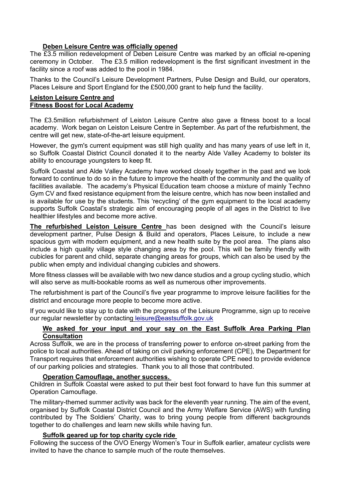## **Deben Leisure Centre was officially opened**

The £3.5 million redevelopment of Deben Leisure Centre was marked by an official re-opening ceremony in October. The £3.5 million redevelopment is the first significant investment in the facility since a roof was added to the pool in 1984.

Thanks to the Council's Leisure Development Partners, Pulse Design and Build, our operators, Places Leisure and Sport England for the £500,000 grant to help fund the facility.

#### **Leiston Leisure Centre and Fitness Boost for Local Academy**

The £3.5million refurbishment of Leiston Leisure Centre also gave a fitness boost to a local academy. Work began on Leiston Leisure Centre in September. As part of the refurbishment, the centre will get new, state-of-the-art leisure equipment.

However, the gym's current equipment was still high quality and has many years of use left in it, so Suffolk Coastal District Council donated it to the nearby Alde Valley Academy to bolster its ability to encourage youngsters to keep fit.

Suffolk Coastal and Alde Valley Academy have worked closely together in the past and we look forward to continue to do so in the future to improve the health of the community and the quality of facilities available. The academy's Physical Education team choose a mixture of mainly Techno Gym CV and fixed resistance equipment from the leisure centre, which has now been installed and is available for use by the students. This 'recycling' of the gym equipment to the local academy supports Suffolk Coastal's strategic aim of encouraging people of all ages in the District to live healthier lifestyles and become more active.

**The refurbished Leiston Leisure Centre** has been designed with the Council's leisure development partner, Pulse Design & Build and operators, Places Leisure, to include a new spacious gym with modern equipment, and a new health suite by the pool area. The plans also include a high quality village style changing area by the pool. This will be family friendly with cubicles for parent and child, separate changing areas for groups, which can also be used by the public when empty and individual changing cubicles and showers.

More fitness classes will be available with two new dance studios and a group cycling studio, which will also serve as multi-bookable rooms as well as numerous other improvements.

The refurbishment is part of the Council's five year programme to improve leisure facilities for the district and encourage more people to become more active.

If you would like to stay up to date with the progress of the Leisure Programme, sign up to receive our regular newsletter by contacting [leisure@eastsuffolk.gov.uk](mailto:leisure@eastsuffolk.gov.uk)

## **We asked for your input and your say on the East Suffolk Area Parking Plan Consultation**

Across Suffolk, we are in the process of transferring power to enforce on-street parking from the police to local authorities. Ahead of taking on civil parking enforcement (CPE), the Department for Transport requires that enforcement authorities wishing to operate CPE need to provide evidence of our parking policies and strategies. Thank you to all those that contributed.

# **Operation Camouflage, another success.**

Children in Suffolk Coastal were asked to put their best foot forward to have fun this summer at Operation Camouflage.

The military-themed summer activity was back for the eleventh year running. The aim of the event, organised by Suffolk Coastal District Council and the Army Welfare Service (AWS) with funding contributed by The Soldiers' Charity, was to bring young people from different backgrounds together to do challenges and learn new skills while having fun.

### **Suffolk geared up for top charity cycle ride**

Following the success of the OVO Energy Women's Tour in Suffolk earlier, amateur cyclists were invited to have the chance to sample much of the route themselves.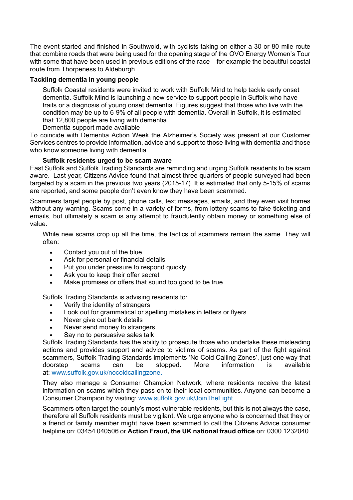The event started and finished in Southwold, with cyclists taking on either a 30 or 80 mile route that combine roads that were being used for the opening stage of the OVO Energy Women's Tour with some that have been used in previous editions of the race – for example the beautiful coastal route from Thorpeness to Aldeburgh.

## **Tackling dementia in young people**

Suffolk Coastal residents were invited to work with Suffolk Mind to help tackle early onset dementia. Suffolk Mind is launching a new service to support people in Suffolk who have traits or a diagnosis of young onset dementia. Figures suggest that those who live with the condition may be up to 6-9% of all people with dementia. Overall in Suffolk, it is estimated that 12,800 people are living with dementia.

Dementia support made available

To coincide with Dementia Action Week the Alzheimer's Society was present at our Customer Services centres to provide information, advice and support to those living with dementia and those who know someone living with dementia.

### **Suffolk residents urged to be scam aware**

East Suffolk and Suffolk Trading Standards are reminding and urging Suffolk residents to be scam aware. Last year, Citizens Advice found that almost three quarters of people surveyed had been targeted by a scam in the previous two years (2015-17). It is estimated that only 5-15% of scams are reported, and some people don't even know they have been scammed.

Scammers target people by post, phone calls, text messages, emails, and they even visit homes without any warning. Scams come in a variety of forms, from lottery scams to fake ticketing and emails, but ultimately a scam is any attempt to fraudulently obtain money or something else of value.

While new scams crop up all the time, the tactics of scammers remain the same. They will often:

- Contact you out of the blue
- Ask for personal or financial details
- Put you under pressure to respond quickly
- Ask you to keep their offer secret
- Make promises or offers that sound too good to be true

Suffolk Trading Standards is advising residents to:

- Verify the identity of strangers
- Look out for grammatical or spelling mistakes in letters or flyers
- Never give out bank details
- Never send money to strangers
- Say no to persuasive sales talk

Suffolk Trading Standards has the ability to prosecute those who undertake these misleading actions and provides support and advice to victims of scams. As part of the fight against scammers, Suffolk Trading Standards implements 'No Cold Calling Zones', just one way that doorstep scams can be stopped. More information is available at: [www.suffolk.gov.uk/nocoldcallingzone.](http://www.suffolk.gov.uk/nocoldcallingzone)

They also manage a Consumer Champion Network, where residents receive the latest information on scams which they pass on to their local communities. Anyone can become a Consumer Champion by visiting: [www.suffolk.gov.uk/JoinTheFight.](http://www.suffolk.gov.uk/JoinTheFight)

Scammers often target the county's most vulnerable residents, but this is not always the case, therefore all Suffolk residents must be vigilant. We urge anyone who is concerned that they or a friend or family member might have been scammed to call the Citizens Advice consumer helpline on: 03454 040506 or **Action Fraud, the UK national fraud office** on: 0300 1232040.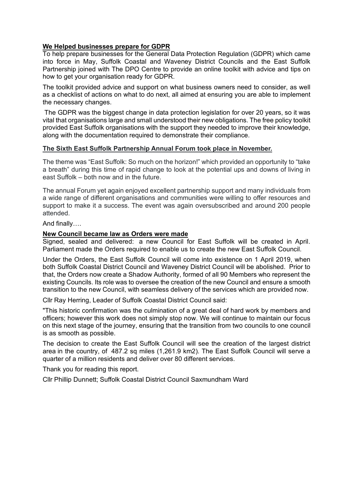#### **We Helped businesses prepare for GDPR**

To help prepare businesses for the General Data Protection Regulation (GDPR) which came into force in May, Suffolk Coastal and Waveney District Councils and the East Suffolk Partnership joined with The DPO Centre to provide an online toolkit with advice and tips on how to get your organisation ready for GDPR.

The toolkit provided advice and support on what business owners need to consider, as well as a checklist of actions on what to do next, all aimed at ensuring you are able to implement the necessary changes.

The GDPR was the biggest change in data protection legislation for over 20 years, so it was vital that organisations large and small understood their new obligations. The free policy toolkit provided East Suffolk organisations with the support they needed to improve their knowledge, along with the documentation required to demonstrate their compliance.

#### **The Sixth East Suffolk Partnership Annual Forum took place in November.**

The theme was "East Suffolk: So much on the horizon!" which provided an opportunity to "take a breath" during this time of rapid change to look at the potential ups and downs of living in east Suffolk – both now and in the future.

The annual Forum yet again enjoyed excellent partnership support and many individuals from a wide range of different organisations and communities were willing to offer resources and support to make it a success. The event was again oversubscribed and around 200 people attended.

And finally….

#### **New Council became law as Orders were made**

Signed, sealed and delivered: a new Council for East Suffolk will be created in April. Parliament made the Orders required to enable us to create the new East Suffolk Council.

Under the Orders, the East Suffolk Council will come into existence on 1 April 2019, when both Suffolk Coastal District Council and Waveney District Council will be abolished. Prior to that, the Orders now create a Shadow Authority, formed of all 90 Members who represent the existing Councils. Its role was to oversee the creation of the new Council and ensure a smooth transition to the new Council, with seamless delivery of the services which are provided now.

Cllr Ray Herring, Leader of Suffolk Coastal District Council said:

"This historic confirmation was the culmination of a great deal of hard work by members and officers; however this work does not simply stop now. We will continue to maintain our focus on this next stage of the journey, ensuring that the transition from two councils to one council is as smooth as possible.

The decision to create the East Suffolk Council will see the creation of the largest district area in the country, of 487.2 sq miles (1,261.9 km2). The East Suffolk Council will serve a quarter of a million residents and deliver over 80 different services.

Thank you for reading this report.

Cllr Phillip Dunnett; Suffolk Coastal District Council Saxmundham Ward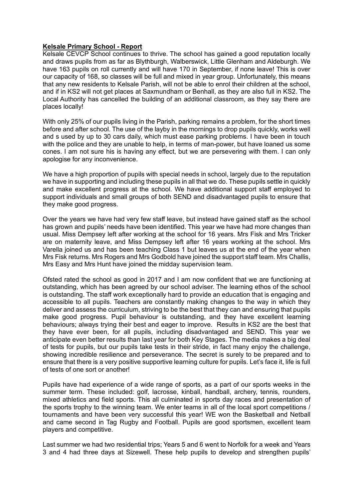#### **Kelsale Primary School - Report**

Kelsale CEVCP School continues to thrive. The school has gained a good reputation locally and draws pupils from as far as Blythburgh, Walberswick, Little Glenham and Aldeburgh. We have 163 pupils on roll currently and will have 170 in September, if none leave! This is over our capacity of 168, so classes will be full and mixed in year group. Unfortunately, this means that any new residents to Kelsale Parish, will not be able to enrol their children at the school, and if in KS2 will not get places at Saxmundham or Benhall, as they are also full in KS2. The Local Authority has cancelled the building of an additional classroom, as they say there are places locally!

With only 25% of our pupils living in the Parish, parking remains a problem, for the short times before and after school. The use of the layby in the mornings to drop pupils quickly, works well and s used by up to 30 cars daily, which must ease parking problems. I have been in touch with the police and they are unable to help, in terms of man-power, but have loaned us some cones. I am not sure his is having any effect, but we are persevering with them. I can only apologise for any inconvenience.

We have a high proportion of pupils with special needs in school, largely due to the reputation we have in supporting and including these pupils in all that we do. These pupils settle in quickly and make excellent progress at the school. We have additional support staff employed to support individuals and small groups of both SEND and disadvantaged pupils to ensure that they make good progress.

Over the years we have had very few staff leave, but instead have gained staff as the school has grown and pupils' needs have been identified. This year we have had more changes than usual. Miss Dempsey left after working at the school for 16 years. Mrs Fisk and Mrs Tricker are on maternity leave, and Miss Dempsey left after 16 years working at the school. Mrs Varella joined us and has been teaching Class 1 but leaves us at the end of the year when Mrs Fisk returns. Mrs Rogers and Mrs Godbold have joined the support staff team. Mrs Challis, Mrs Easy and Mrs Hunt have joined the midday supervision team.

Ofsted rated the school as good in 2017 and I am now confident that we are functioning at outstanding, which has been agreed by our school adviser. The learning ethos of the school is outstanding. The staff work exceptionally hard to provide an education that is engaging and accessible to all pupils. Teachers are constantly making changes to the way in which they deliver and assess the curriculum, striving to be the best that they can and ensuring that pupils make good progress. Pupil behaviour is outstanding, and they have excellent learning behaviours; always trying their best and eager to improve. Results in KS2 are the best that they have ever been, for all pupils, including disadvantaged and SEND. This year we anticipate even better results than last year for both Key Stages. The media makes a big deal of tests for pupils, but our pupils take tests in their stride, in fact many enjoy the challenge, showing incredible resilience and perseverance. The secret is surely to be prepared and to ensure that there is a very positive supportive learning culture for pupils. Let's face it, life is full of tests of one sort or another!

Pupils have had experience of a wide range of sports, as a part of our sports weeks in the summer term. These included: golf, lacrosse, kinball, handball, archery, tennis, rounders, mixed athletics and field sports. This all culminated in sports day races and presentation of the sports trophy to the winning team. We enter teams in all of the local sport competitions / tournaments and have been very successful this year! WE won the Basketball and Netball and came second in Tag Rugby and Football. Pupils are good sportsmen, excellent team players and competitive.

Last summer we had two residential trips; Years 5 and 6 went to Norfolk for a week and Years 3 and 4 had three days at Sizewell. These help pupils to develop and strengthen pupils'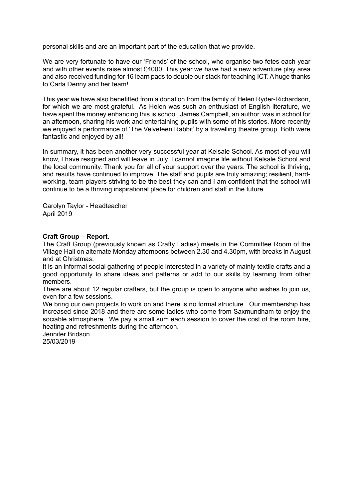personal skills and are an important part of the education that we provide.

We are very fortunate to have our 'Friends' of the school, who organise two fetes each year and with other events raise almost £4000. This year we have had a new adventure play area and also received funding for 16 learn pads to double our stack for teaching ICT. A huge thanks to Carla Denny and her team!

This year we have also benefitted from a donation from the family of Helen Ryder-Richardson, for which we are most grateful. As Helen was such an enthusiast of English literature, we have spent the money enhancing this is school. James Campbell, an author, was in school for an afternoon, sharing his work and entertaining pupils with some of his stories. More recently we enjoyed a performance of 'The Velveteen Rabbit' by a travelling theatre group. Both were fantastic and enjoyed by all!

In summary, it has been another very successful year at Kelsale School. As most of you will know, I have resigned and will leave in July. I cannot imagine life without Kelsale School and the local community. Thank you for all of your support over the years. The school is thriving, and results have continued to improve. The staff and pupils are truly amazing; resilient, hardworking, team-players striving to be the best they can and I am confident that the school will continue to be a thriving inspirational place for children and staff in the future.

Carolyn Taylor - Headteacher April 2019

### **Craft Group – Report.**

The Craft Group (previously known as Crafty Ladies) meets in the Committee Room of the Village Hall on alternate Monday afternoons between 2.30 and 4.30pm, with breaks in August and at Christmas.

It is an informal social gathering of people interested in a variety of mainly textile crafts and a good opportunity to share ideas and patterns or add to our skills by learning from other members.

There are about 12 regular crafters, but the group is open to anyone who wishes to join us, even for a few sessions.

We bring our own projects to work on and there is no formal structure. Our membership has increased since 2018 and there are some ladies who come from Saxmundham to enjoy the sociable atmosphere. We pay a small sum each session to cover the cost of the room hire, heating and refreshments during the afternoon.

Jennifer Bridson 25/03/2019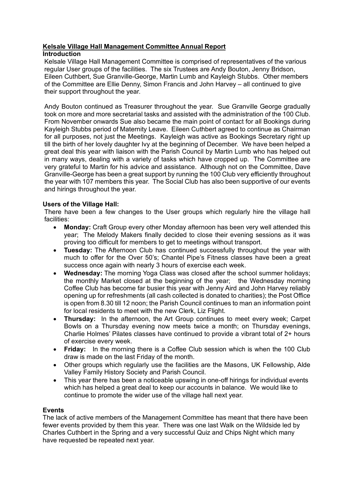#### **Kelsale Village Hall Management Committee Annual Report Introduction**

Kelsale Village Hall Management Committee is comprised of representatives of the various regular User groups of the facilities. The six Trustees are Andy Bouton, Jenny Bridson, Eileen Cuthbert, Sue Granville-George, Martin Lumb and Kayleigh Stubbs. Other members of the Committee are Ellie Denny, Simon Francis and John Harvey – all continued to give their support throughout the year.

Andy Bouton continued as Treasurer throughout the year. Sue Granville George gradually took on more and more secretarial tasks and assisted with the administration of the 100 Club. From November onwards Sue also became the main point of contact for all Bookings during Kayleigh Stubbs period of Maternity Leave. Eileen Cuthbert agreed to continue as Chairman for all purposes, not just the Meetings. Kayleigh was active as Bookings Secretary right up till the birth of her lovely daughter Ivy at the beginning of December. We have been helped a great deal this year with liaison with the Parish Council by Martin Lumb who has helped out in many ways, dealing with a variety of tasks which have cropped up. The Committee are very grateful to Martin for his advice and assistance. Although not on the Committee, Dave Granville-George has been a great support by running the 100 Club very efficiently throughout the year with 107 members this year. The Social Club has also been supportive of our events and hirings throughout the year.

# **Users of the Village Hall:**

There have been a few changes to the User groups which regularly hire the village hall facilities:

- **Monday:** Craft Group every other Monday afternoon has been very well attended this year; The Melody Makers finally decided to close their evening sessions as it was proving too difficult for members to get to meetings without transport.
- **Tuesday:** The Afternoon Club has continued successfully throughout the year with much to offer for the Over 50's; Chantel Pipe's Fitness classes have been a great success once again with nearly 3 hours of exercise each week.
- **Wednesday:** The morning Yoga Class was closed after the school summer holidays; the monthly Market closed at the beginning of the year; the Wednesday morning Coffee Club has become far busier this year with Jenny Aird and John Harvey reliably opening up for refreshments (all cash collected is donated to charities); the Post Office is open from 8.30 till 12 noon; the Parish Council continues to man an information point for local residents to meet with the new Clerk, Liz Flight.
- **Thursday:** In the afternoon, the Art Group continues to meet every week; Carpet Bowls on a Thursday evening now meets twice a month; on Thursday evenings, Charlie Holmes' Pilates classes have continued to provide a vibrant total of 2+ hours of exercise every week.
- **Friday:** In the morning there is a Coffee Club session which is when the 100 Club draw is made on the last Friday of the month.
- Other groups which regularly use the facilities are the Masons, UK Fellowship, Alde Valley Family History Society and Parish Council.
- This year there has been a noticeable upswing in one-off hirings for individual events which has helped a great deal to keep our accounts in balance. We would like to continue to promote the wider use of the village hall next year.

### **Events**

The lack of active members of the Management Committee has meant that there have been fewer events provided by them this year. There was one last Walk on the Wildside led by Charles Cuthbert in the Spring and a very successful Quiz and Chips Night which many have requested be repeated next year.